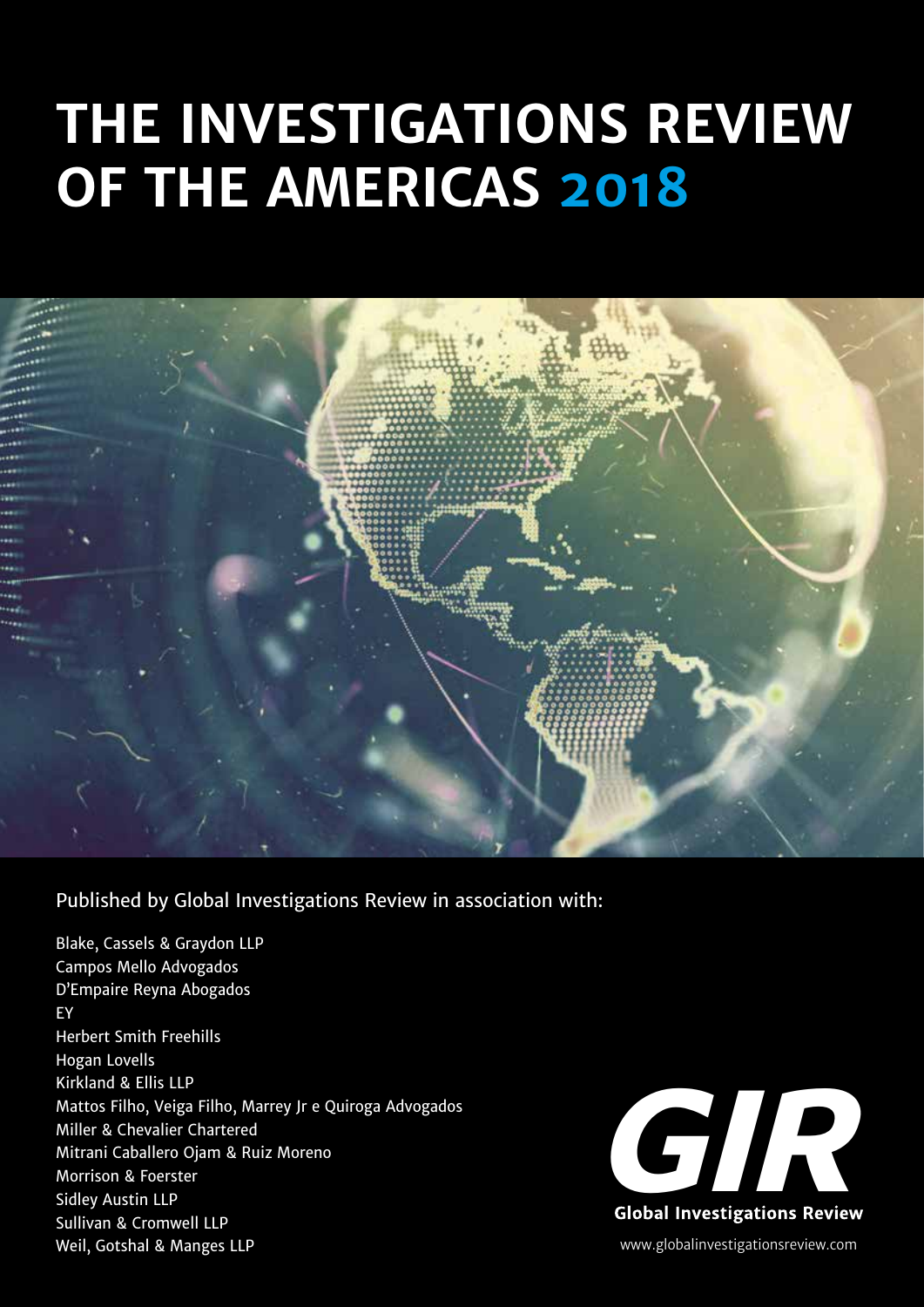# **THE INVESTIGATIONS REVIEW OF THE AMERICAS 2018**



# Published by Global Investigations Review in association with:

Blake, Cassels & Graydon LLP Campos Mello Advogados D'Empaire Reyna Abogados EY Herbert Smith Freehills Hogan Lovells Kirkland & Ellis LLP Mattos Filho, Veiga Filho, Marrey Jr e Quiroga Advogados Miller & Chevalier Chartered Mitrani Caballero Ojam & Ruiz Moreno Morrison & Foerster Sidley Austin LLP Sullivan & Cromwell LLP Weil, Gotshal & Manges LLP



www.globalinvestigationsreview.com **Global Investigations Review**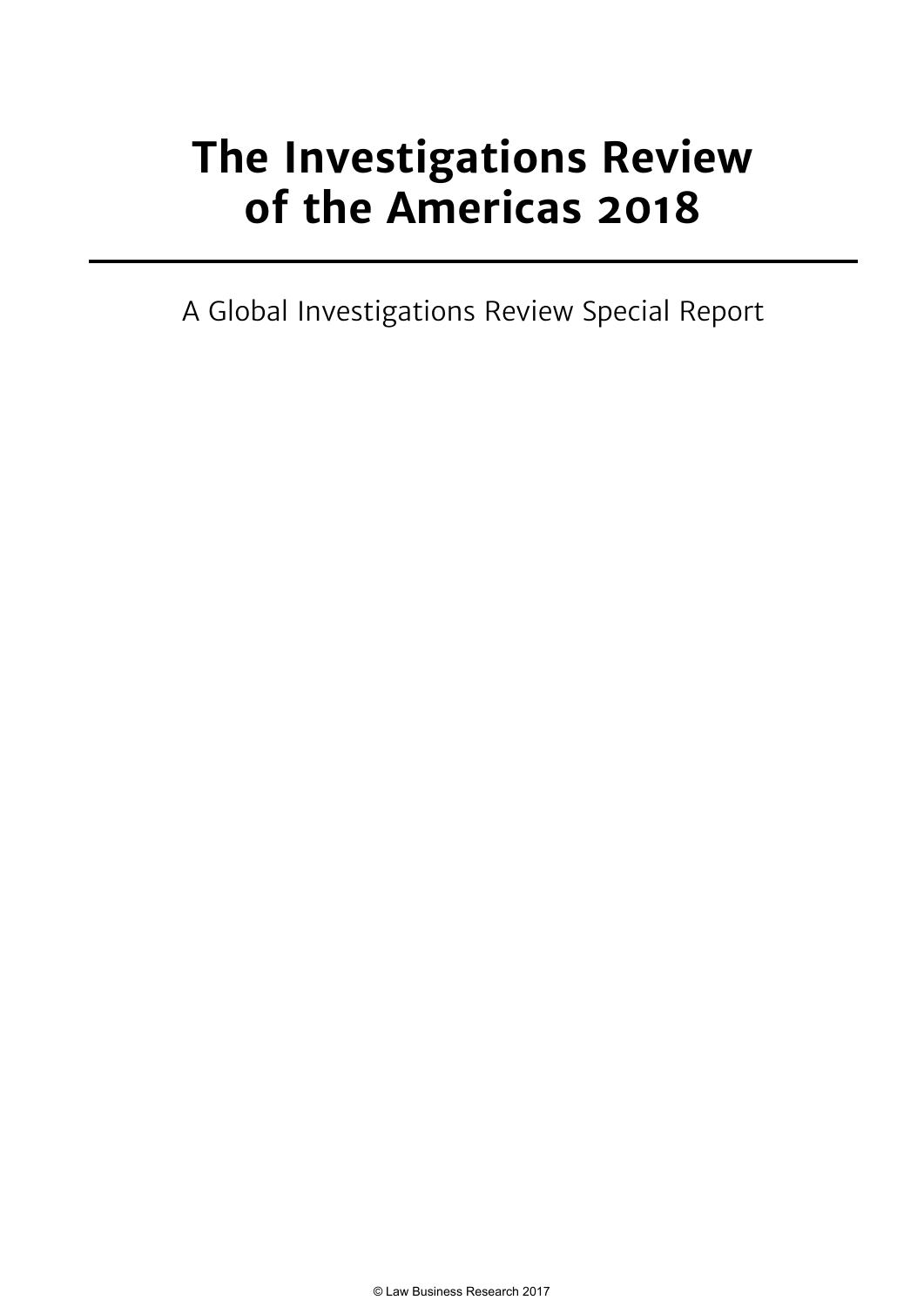# **The Investigations Review of the Americas 2018**

A Global Investigations Review Special Report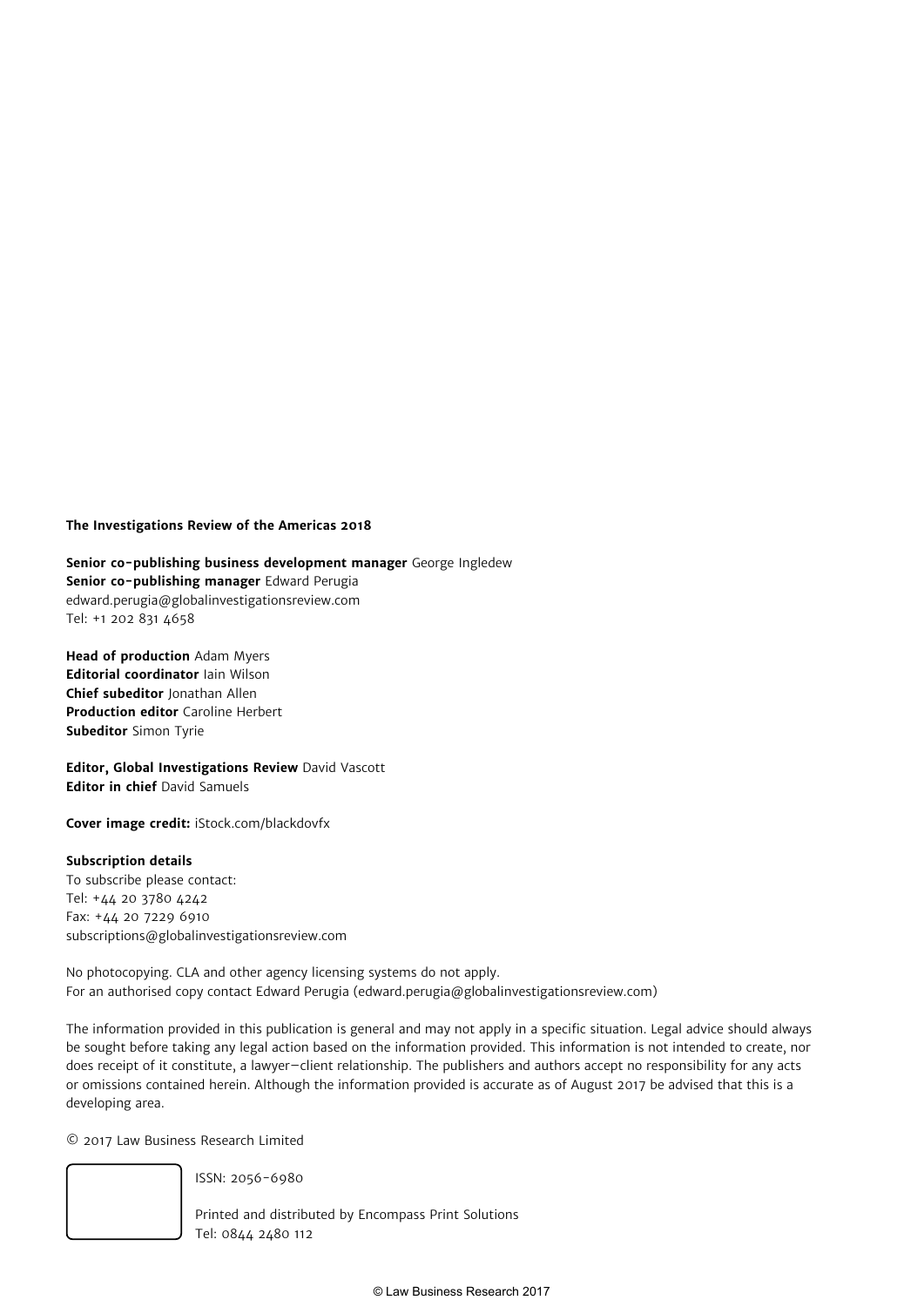#### **The Investigations Review of the Americas 2018**

**Senior co-publishing business development manager** George Ingledew **Senior co-publishing manager** Edward Perugia edward.perugia@globalinvestigationsreview.com Tel: +1 202 831 4658

**Head of production** Adam Myers **Editorial coordinator** Iain Wilson **Chief subeditor** Jonathan Allen **Production editor** Caroline Herbert **Subeditor** Simon Tyrie

**Editor, Global Investigations Review** David Vascott **Editor in chief** David Samuels

**Cover image credit:** iStock.com/blackdovfx

#### **Subscription details**

To subscribe please contact: Tel: +44 20 3780 4242 Fax: +44 20 7229 6910 subscriptions@globalinvestigationsreview.com

No photocopying. CLA and other agency licensing systems do not apply. For an authorised copy contact Edward Perugia (edward.perugia@globalinvestigationsreview.com)

The information provided in this publication is general and may not apply in a specific situation. Legal advice should always be sought before taking any legal action based on the information provided. This information is not intended to create, nor does receipt of it constitute, a lawyer–client relationship. The publishers and authors accept no responsibility for any acts or omissions contained herein. Although the information provided is accurate as of August 2017 be advised that this is a developing area.

© 2017 Law Business Research Limited



ISSN: 2056-6980

Printed and distributed by Encompass Print Solutions Tel: 0844 2480 112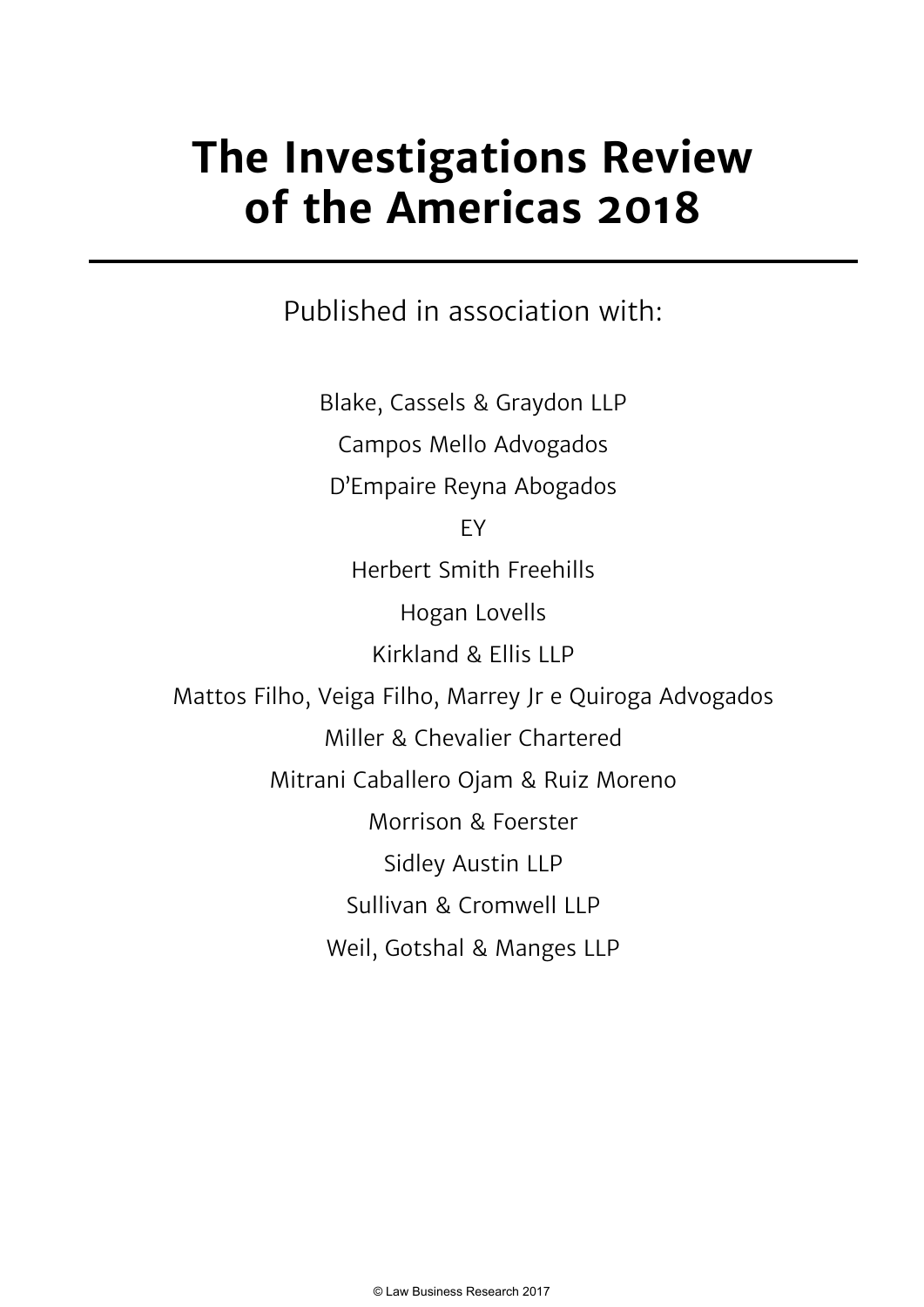# **The Investigations Review of the Americas 2018**

Published in association with:

Blake, Cassels & Graydon LLP Campos Mello Advogados D'Empaire Reyna Abogados EY Herbert Smith Freehills Hogan Lovells Kirkland & Ellis LLP Mattos Filho, Veiga Filho, Marrey Jr e Quiroga Advogados Miller & Chevalier Chartered Mitrani Caballero Ojam & Ruiz Moreno Morrison & Foerster Sidley Austin LLP Sullivan & Cromwell LLP Weil, Gotshal & Manges LLP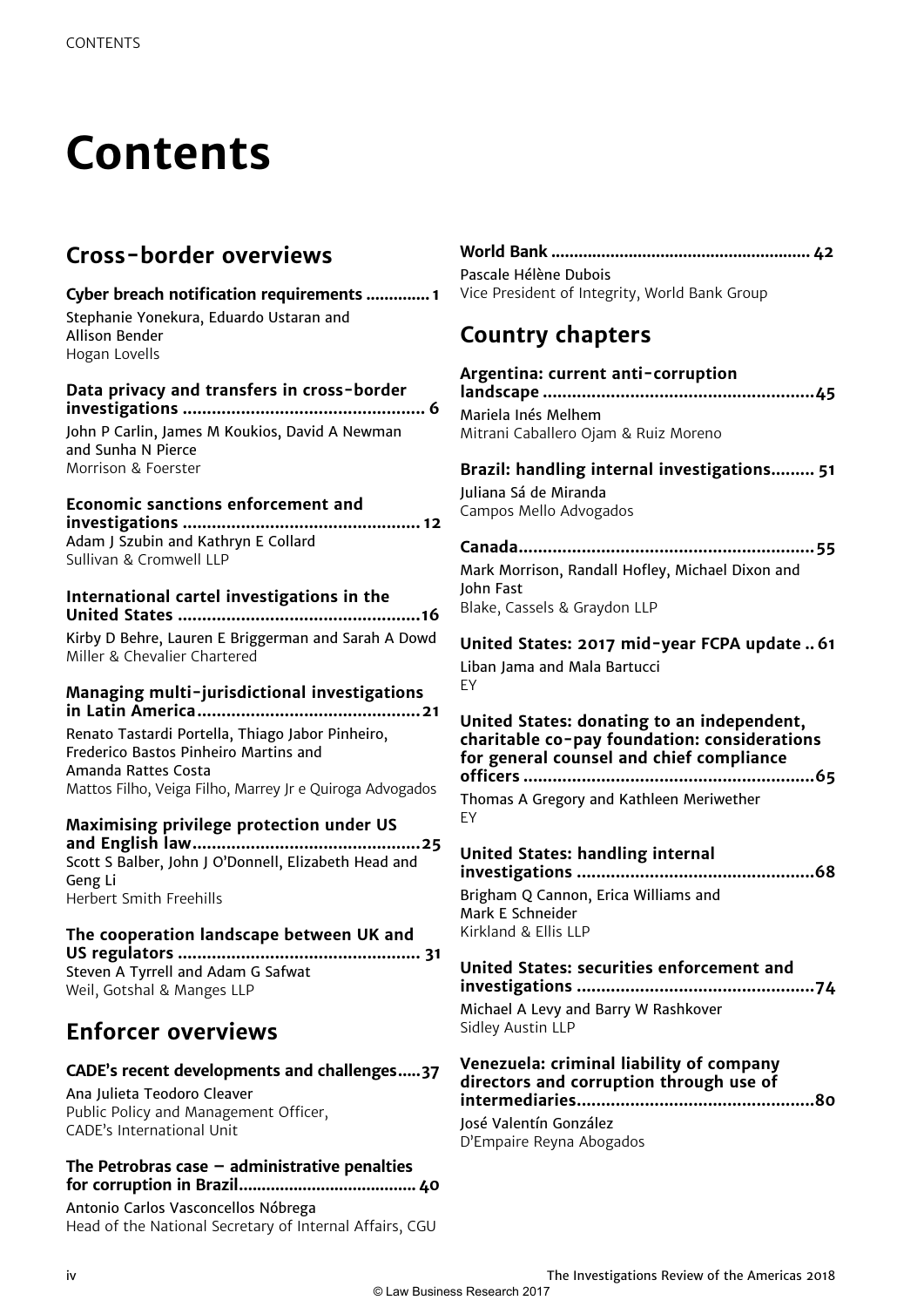# **Contents**

# **Cross-border overviews**

# **Cyber breach notification requirements .............. 1**

Stephanie Yonekura, Eduardo Ustaran and Allison Bender Hogan Lovells

#### **Data privacy and transfers in cross-border investigations .................................................. 6**

John P Carlin, James M Koukios, David A Newman and Sunha N Pierce Morrison & Foerster

#### **Economic sanctions enforcement and investigations ................................................. 12** Adam J Szubin and Kathryn E Collard Sullivan & Cromwell LLP

### **International cartel investigations in the United States ..................................................16**

Kirby D Behre, Lauren E Briggerman and Sarah A Dowd Miller & Chevalier Chartered

## **Managing multi-jurisdictional investigations in Latin America..............................................21**

Renato Tastardi Portella, Thiago Jabor Pinheiro, Frederico Bastos Pinheiro Martins and Amanda Rattes Costa Mattos Filho, Veiga Filho, Marrey Jr e Quiroga Advogados

## **Maximising privilege protection under US**

**and English law ...............................................25** Scott S Balber, John J O'Donnell, Elizabeth Head and Geng Li Herbert Smith Freehills

### **The cooperation landscape between UK and US regulators .................................................. 31**

Steven A Tyrrell and Adam G Safwat Weil, Gotshal & Manges LLP

# **Enforcer overviews**

# **CADE's recent developments and challenges.....37**

Ana Julieta Teodoro Cleaver Public Policy and Management Officer, CADE's International Unit

### **The Petrobras case – administrative penalties for corruption in Brazil.......................................40**

Antonio Carlos Vasconcellos Nóbrega Head of the National Secretary of Internal Affairs, CGU

| Pascale Hélène Dubois                         |
|-----------------------------------------------|
| Vice President of Integrity, World Bank Group |

# **Country chapters**

## **Argentina: current anti-corruption**

**landscape ........................................................45** Mariela Inés Melhem Mitrani Caballero Ojam & Ruiz Moreno

# **Brazil: handling internal investigations ......... 51**

Juliana Sá de Miranda Campos Mello Advogados

## **Canada.............................................................55**

Mark Morrison, Randall Hofley, Michael Dixon and John Fast Blake, Cassels & Graydon LLP

# **United States: 2017 mid-year FCPA update .. 61**

Liban Jama and Mala Bartucci EY

#### **United States: donating to an independent, charitable co-pay foundation: considerations for general counsel and chief compliance officers ............................................................65**

Thomas A Gregory and Kathleen Meriwether EY

# **United States: handling internal**

**investigations .................................................68** Brigham Q Cannon, Erica Williams and Mark E Schneider Kirkland & Ellis LLP

# **United States: securities enforcement and**

**investigations .................................................74** Michael A Levy and Barry W Rashkover

Sidley Austin LLP

### **Venezuela: criminal liability of company directors and corruption through use of intermediaries .................................................80**

José Valentín González D'Empaire Reyna Abogados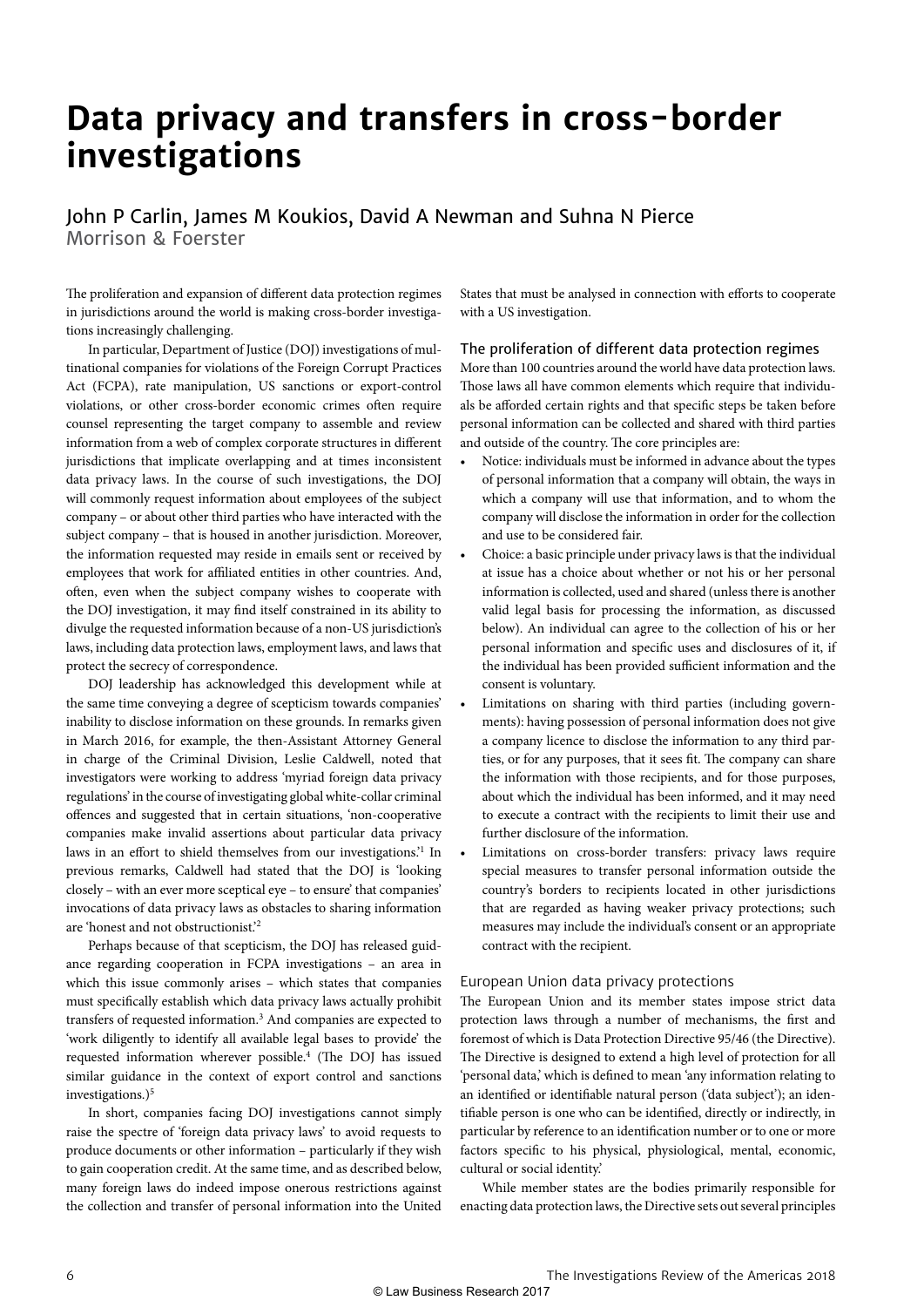# **Data privacy and transfers in cross-border investigations**

## John P Carlin, James M Koukios, David A Newman and Suhna N Pierce Morrison & Foerster

The proliferation and expansion of different data protection regimes in jurisdictions around the world is making cross-border investigations increasingly challenging.

In particular, Department of Justice (DOJ) investigations of multinational companies for violations of the Foreign Corrupt Practices Act (FCPA), rate manipulation, US sanctions or export-control violations, or other cross-border economic crimes often require counsel representing the target company to assemble and review information from a web of complex corporate structures in different jurisdictions that implicate overlapping and at times inconsistent data privacy laws. In the course of such investigations, the DOJ will commonly request information about employees of the subject company – or about other third parties who have interacted with the subject company – that is housed in another jurisdiction. Moreover, the information requested may reside in emails sent or received by employees that work for affiliated entities in other countries. And, often, even when the subject company wishes to cooperate with the DOJ investigation, it may find itself constrained in its ability to divulge the requested information because of a non-US jurisdiction's laws, including data protection laws, employment laws, and laws that protect the secrecy of correspondence.

DOJ leadership has acknowledged this development while at the same time conveying a degree of scepticism towards companies' inability to disclose information on these grounds. In remarks given in March 2016, for example, the then-Assistant Attorney General in charge of the Criminal Division, Leslie Caldwell, noted that investigators were working to address 'myriad foreign data privacy regulations' in the course of investigating global white-collar criminal offences and suggested that in certain situations, 'non-cooperative companies make invalid assertions about particular data privacy laws in an effort to shield themselves from our investigations.'1 In previous remarks, Caldwell had stated that the DOJ is 'looking closely – with an ever more sceptical eye – to ensure' that companies' invocations of data privacy laws as obstacles to sharing information are 'honest and not obstructionist.'2

Perhaps because of that scepticism, the DOJ has released guidance regarding cooperation in FCPA investigations – an area in which this issue commonly arises – which states that companies must specifically establish which data privacy laws actually prohibit transfers of requested information.<sup>3</sup> And companies are expected to 'work diligently to identify all available legal bases to provide' the requested information wherever possible.<sup>4</sup> (The DOJ has issued similar guidance in the context of export control and sanctions investigations.) $5$ 

In short, companies facing DOJ investigations cannot simply raise the spectre of 'foreign data privacy laws' to avoid requests to produce documents or other information – particularly if they wish to gain cooperation credit. At the same time, and as described below, many foreign laws do indeed impose onerous restrictions against the collection and transfer of personal information into the United States that must be analysed in connection with efforts to cooperate with a US investigation.

#### The proliferation of different data protection regimes

More than 100 countries around the world have data protection laws. Those laws all have common elements which require that individuals be afforded certain rights and that specific steps be taken before personal information can be collected and shared with third parties and outside of the country. The core principles are:

- Notice: individuals must be informed in advance about the types of personal information that a company will obtain, the ways in which a company will use that information, and to whom the company will disclose the information in order for the collection and use to be considered fair.
- Choice: a basic principle under privacy laws is that the individual at issue has a choice about whether or not his or her personal information is collected, used and shared (unless there is another valid legal basis for processing the information, as discussed below). An individual can agree to the collection of his or her personal information and specific uses and disclosures of it, if the individual has been provided sufficient information and the consent is voluntary.
- Limitations on sharing with third parties (including governments): having possession of personal information does not give a company licence to disclose the information to any third parties, or for any purposes, that it sees fit. The company can share the information with those recipients, and for those purposes, about which the individual has been informed, and it may need to execute a contract with the recipients to limit their use and further disclosure of the information.
- Limitations on cross-border transfers: privacy laws require special measures to transfer personal information outside the country's borders to recipients located in other jurisdictions that are regarded as having weaker privacy protections; such measures may include the individual's consent or an appropriate contract with the recipient.

#### European Union data privacy protections

The European Union and its member states impose strict data protection laws through a number of mechanisms, the first and foremost of which is Data Protection Directive 95/46 (the Directive). The Directive is designed to extend a high level of protection for all 'personal data,' which is defined to mean 'any information relating to an identified or identifiable natural person ('data subject'); an identifiable person is one who can be identified, directly or indirectly, in particular by reference to an identification number or to one or more factors specific to his physical, physiological, mental, economic, cultural or social identity.'

While member states are the bodies primarily responsible for enacting data protection laws, the Directive sets out several principles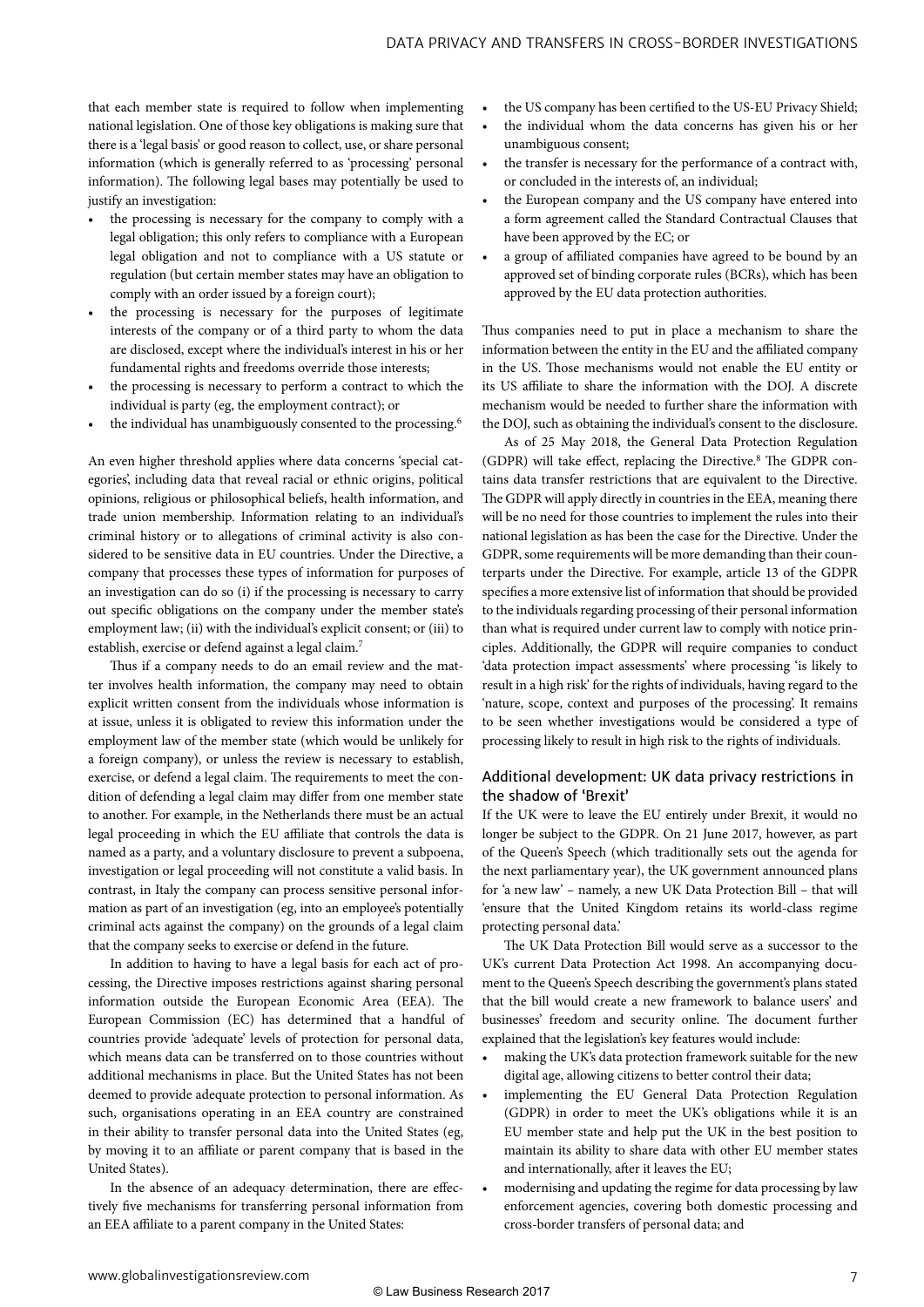that each member state is required to follow when implementing national legislation. One of those key obligations is making sure that there is a 'legal basis' or good reason to collect, use, or share personal information (which is generally referred to as 'processing' personal information). The following legal bases may potentially be used to justify an investigation:

- the processing is necessary for the company to comply with a legal obligation; this only refers to compliance with a European legal obligation and not to compliance with a US statute or regulation (but certain member states may have an obligation to comply with an order issued by a foreign court);
- the processing is necessary for the purposes of legitimate interests of the company or of a third party to whom the data are disclosed, except where the individual's interest in his or her fundamental rights and freedoms override those interests;
- the processing is necessary to perform a contract to which the individual is party (eg, the employment contract); or
- the individual has unambiguously consented to the processing.<sup>6</sup>

An even higher threshold applies where data concerns 'special categories', including data that reveal racial or ethnic origins, political opinions, religious or philosophical beliefs, health information, and trade union membership. Information relating to an individual's criminal history or to allegations of criminal activity is also considered to be sensitive data in EU countries. Under the Directive, a company that processes these types of information for purposes of an investigation can do so (i) if the processing is necessary to carry out specific obligations on the company under the member state's employment law; (ii) with the individual's explicit consent; or (iii) to establish, exercise or defend against a legal claim.<sup>7</sup>

Thus if a company needs to do an email review and the matter involves health information, the company may need to obtain explicit written consent from the individuals whose information is at issue, unless it is obligated to review this information under the employment law of the member state (which would be unlikely for a foreign company), or unless the review is necessary to establish, exercise, or defend a legal claim. The requirements to meet the condition of defending a legal claim may differ from one member state to another. For example, in the Netherlands there must be an actual legal proceeding in which the EU affiliate that controls the data is named as a party, and a voluntary disclosure to prevent a subpoena, investigation or legal proceeding will not constitute a valid basis. In contrast, in Italy the company can process sensitive personal information as part of an investigation (eg, into an employee's potentially criminal acts against the company) on the grounds of a legal claim that the company seeks to exercise or defend in the future.

In addition to having to have a legal basis for each act of processing, the Directive imposes restrictions against sharing personal information outside the European Economic Area (EEA). The European Commission (EC) has determined that a handful of countries provide 'adequate' levels of protection for personal data, which means data can be transferred on to those countries without additional mechanisms in place. But the United States has not been deemed to provide adequate protection to personal information. As such, organisations operating in an EEA country are constrained in their ability to transfer personal data into the United States (eg, by moving it to an affiliate or parent company that is based in the United States).

In the absence of an adequacy determination, there are effectively five mechanisms for transferring personal information from an EEA affiliate to a parent company in the United States:

- the US company has been certified to the US-EU Privacy Shield;
- the individual whom the data concerns has given his or her unambiguous consent;
- the transfer is necessary for the performance of a contract with, or concluded in the interests of, an individual;
- the European company and the US company have entered into a form agreement called the Standard Contractual Clauses that have been approved by the EC; or
- a group of affiliated companies have agreed to be bound by an approved set of binding corporate rules (BCRs), which has been approved by the EU data protection authorities.

Thus companies need to put in place a mechanism to share the information between the entity in the EU and the affiliated company in the US. Those mechanisms would not enable the EU entity or its US affiliate to share the information with the DOJ. A discrete mechanism would be needed to further share the information with the DOJ, such as obtaining the individual's consent to the disclosure.

As of 25 May 2018, the General Data Protection Regulation (GDPR) will take effect, replacing the Directive.<sup>8</sup> The GDPR contains data transfer restrictions that are equivalent to the Directive. The GDPR will apply directly in countries in the EEA, meaning there will be no need for those countries to implement the rules into their national legislation as has been the case for the Directive. Under the GDPR, some requirements will be more demanding than their counterparts under the Directive. For example, article 13 of the GDPR specifies a more extensive list of information that should be provided to the individuals regarding processing of their personal information than what is required under current law to comply with notice principles. Additionally, the GDPR will require companies to conduct 'data protection impact assessments' where processing 'is likely to result in a high risk' for the rights of individuals, having regard to the 'nature, scope, context and purposes of the processing'. It remains to be seen whether investigations would be considered a type of processing likely to result in high risk to the rights of individuals.

#### Additional development: UK data privacy restrictions in the shadow of 'Brexit'

If the UK were to leave the EU entirely under Brexit, it would no longer be subject to the GDPR. On 21 June 2017, however, as part of the Queen's Speech (which traditionally sets out the agenda for the next parliamentary year), the UK government announced plans for 'a new law' – namely, a new UK Data Protection Bill – that will 'ensure that the United Kingdom retains its world-class regime protecting personal data.'

The UK Data Protection Bill would serve as a successor to the UK's current Data Protection Act 1998. An accompanying document to the Queen's Speech describing the government's plans stated that the bill would create a new framework to balance users' and businesses' freedom and security online. The document further explained that the legislation's key features would include:

- making the UK's data protection framework suitable for the new digital age, allowing citizens to better control their data;
- implementing the EU General Data Protection Regulation (GDPR) in order to meet the UK's obligations while it is an EU member state and help put the UK in the best position to maintain its ability to share data with other EU member states and internationally, after it leaves the EU;
- modernising and updating the regime for data processing by law enforcement agencies, covering both domestic processing and cross-border transfers of personal data; and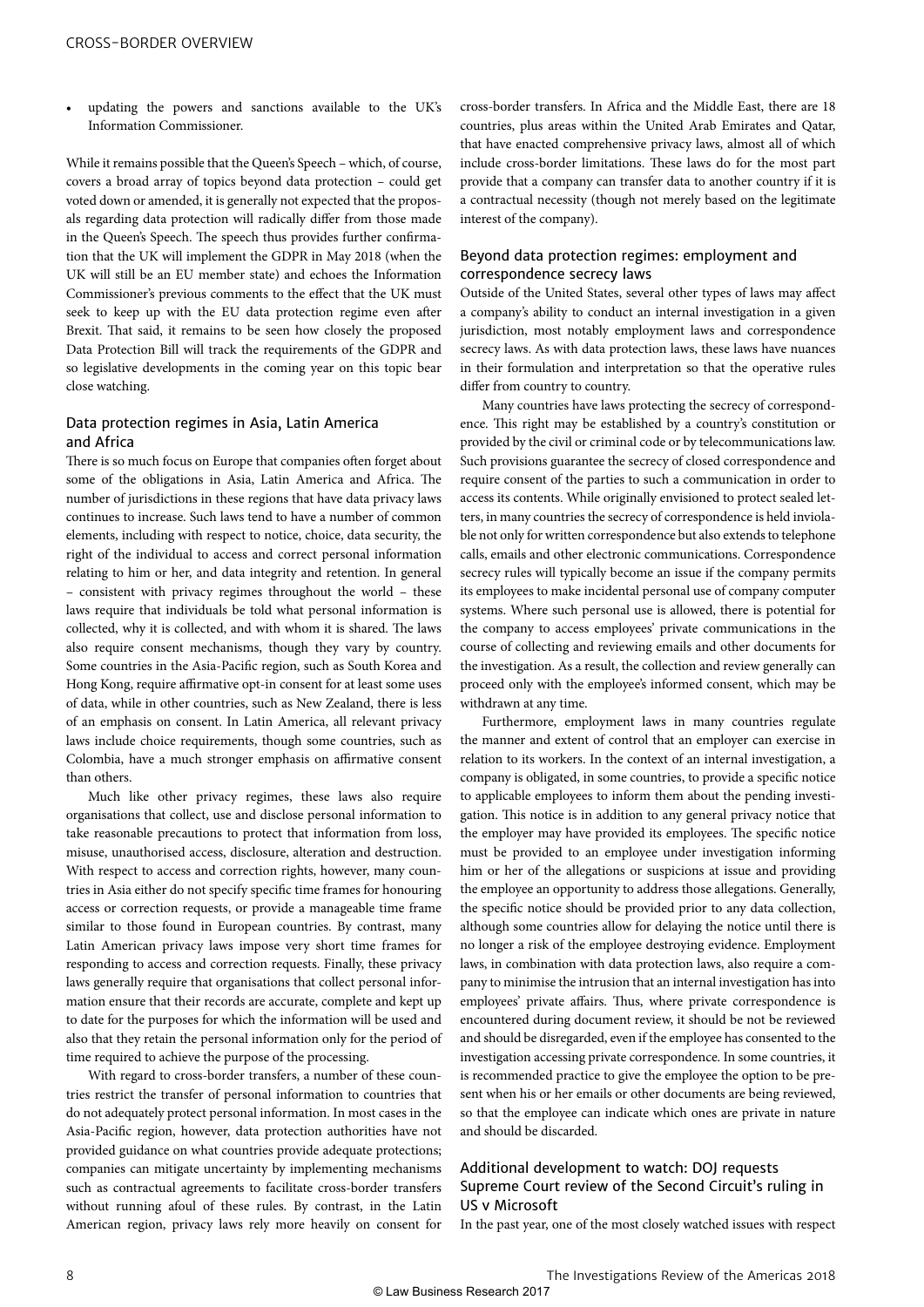• updating the powers and sanctions available to the UK's Information Commissioner.

While it remains possible that the Queen's Speech – which, of course, covers a broad array of topics beyond data protection – could get voted down or amended, it is generally not expected that the proposals regarding data protection will radically differ from those made in the Queen's Speech. The speech thus provides further confirmation that the UK will implement the GDPR in May 2018 (when the UK will still be an EU member state) and echoes the Information Commissioner's previous comments to the effect that the UK must seek to keep up with the EU data protection regime even after Brexit. That said, it remains to be seen how closely the proposed Data Protection Bill will track the requirements of the GDPR and so legislative developments in the coming year on this topic bear close watching.

#### Data protection regimes in Asia, Latin America and Africa

There is so much focus on Europe that companies often forget about some of the obligations in Asia, Latin America and Africa. The number of jurisdictions in these regions that have data privacy laws continues to increase. Such laws tend to have a number of common elements, including with respect to notice, choice, data security, the right of the individual to access and correct personal information relating to him or her, and data integrity and retention. In general – consistent with privacy regimes throughout the world – these laws require that individuals be told what personal information is collected, why it is collected, and with whom it is shared. The laws also require consent mechanisms, though they vary by country. Some countries in the Asia-Pacific region, such as South Korea and Hong Kong, require affirmative opt-in consent for at least some uses of data, while in other countries, such as New Zealand, there is less of an emphasis on consent. In Latin America, all relevant privacy laws include choice requirements, though some countries, such as Colombia, have a much stronger emphasis on affirmative consent than others.

Much like other privacy regimes, these laws also require organisations that collect, use and disclose personal information to take reasonable precautions to protect that information from loss, misuse, unauthorised access, disclosure, alteration and destruction. With respect to access and correction rights, however, many countries in Asia either do not specify specific time frames for honouring access or correction requests, or provide a manageable time frame similar to those found in European countries. By contrast, many Latin American privacy laws impose very short time frames for responding to access and correction requests. Finally, these privacy laws generally require that organisations that collect personal information ensure that their records are accurate, complete and kept up to date for the purposes for which the information will be used and also that they retain the personal information only for the period of time required to achieve the purpose of the processing.

With regard to cross-border transfers, a number of these countries restrict the transfer of personal information to countries that do not adequately protect personal information. In most cases in the Asia-Pacific region, however, data protection authorities have not provided guidance on what countries provide adequate protections; companies can mitigate uncertainty by implementing mechanisms such as contractual agreements to facilitate cross-border transfers without running afoul of these rules. By contrast, in the Latin American region, privacy laws rely more heavily on consent for cross-border transfers. In Africa and the Middle East, there are 18 countries, plus areas within the United Arab Emirates and Qatar, that have enacted comprehensive privacy laws, almost all of which include cross-border limitations. These laws do for the most part provide that a company can transfer data to another country if it is a contractual necessity (though not merely based on the legitimate interest of the company).

#### Beyond data protection regimes: employment and correspondence secrecy laws

Outside of the United States, several other types of laws may affect a company's ability to conduct an internal investigation in a given jurisdiction, most notably employment laws and correspondence secrecy laws. As with data protection laws, these laws have nuances in their formulation and interpretation so that the operative rules differ from country to country.

Many countries have laws protecting the secrecy of correspondence. This right may be established by a country's constitution or provided by the civil or criminal code or by telecommunications law. Such provisions guarantee the secrecy of closed correspondence and require consent of the parties to such a communication in order to access its contents. While originally envisioned to protect sealed letters, in many countries the secrecy of correspondence is held inviolable not only for written correspondence but also extends to telephone calls, emails and other electronic communications. Correspondence secrecy rules will typically become an issue if the company permits its employees to make incidental personal use of company computer systems. Where such personal use is allowed, there is potential for the company to access employees' private communications in the course of collecting and reviewing emails and other documents for the investigation. As a result, the collection and review generally can proceed only with the employee's informed consent, which may be withdrawn at any time.

Furthermore, employment laws in many countries regulate the manner and extent of control that an employer can exercise in relation to its workers. In the context of an internal investigation, a company is obligated, in some countries, to provide a specific notice to applicable employees to inform them about the pending investigation. This notice is in addition to any general privacy notice that the employer may have provided its employees. The specific notice must be provided to an employee under investigation informing him or her of the allegations or suspicions at issue and providing the employee an opportunity to address those allegations. Generally, the specific notice should be provided prior to any data collection, although some countries allow for delaying the notice until there is no longer a risk of the employee destroying evidence. Employment laws, in combination with data protection laws, also require a company to minimise the intrusion that an internal investigation has into employees' private affairs. Thus, where private correspondence is encountered during document review, it should be not be reviewed and should be disregarded, even if the employee has consented to the investigation accessing private correspondence. In some countries, it is recommended practice to give the employee the option to be present when his or her emails or other documents are being reviewed, so that the employee can indicate which ones are private in nature and should be discarded.

#### Additional development to watch: DOJ requests Supreme Court review of the Second Circuit's ruling in US v Microsoft

In the past year, one of the most closely watched issues with respect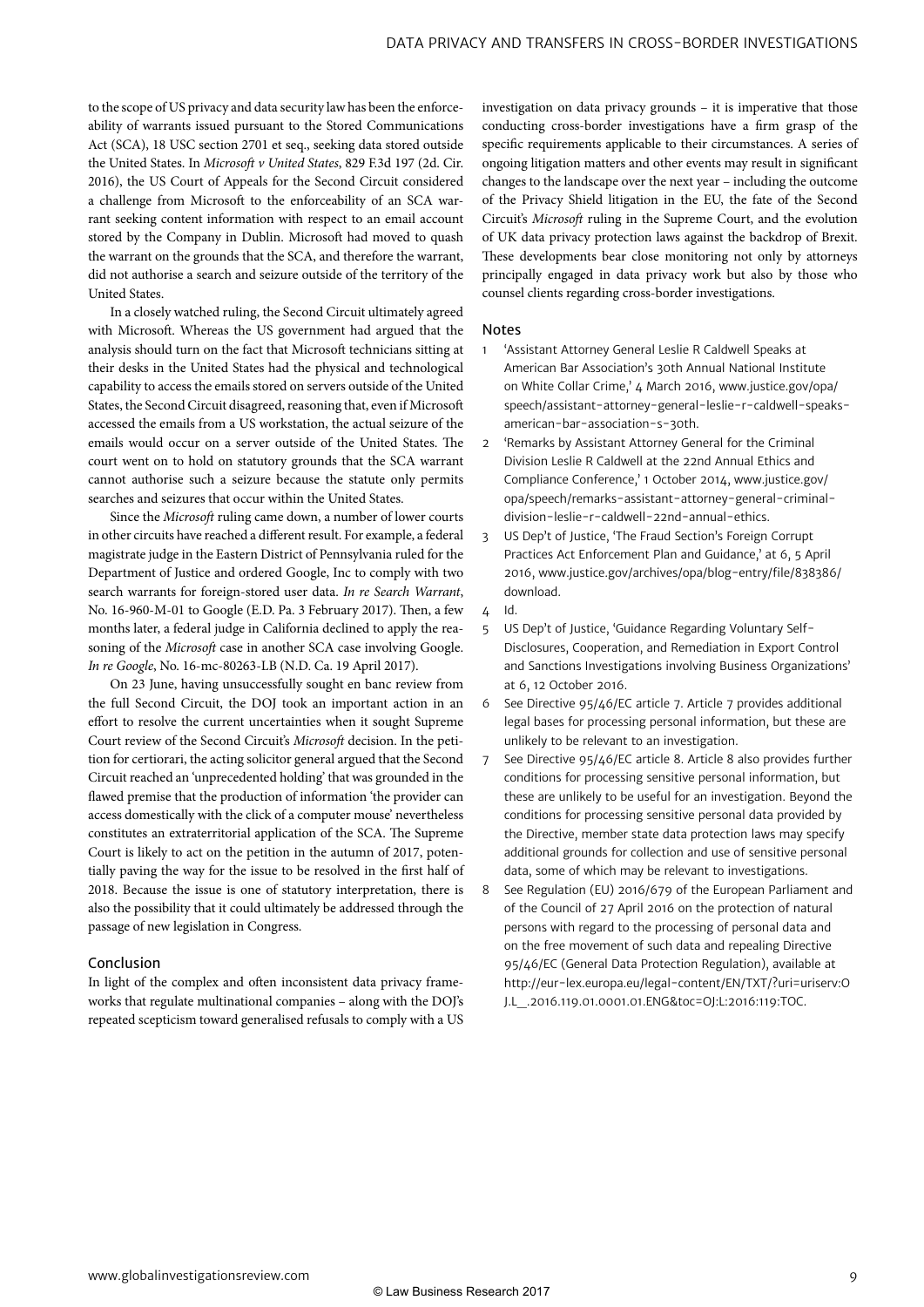to the scope of US privacy and data security law has been the enforceability of warrants issued pursuant to the Stored Communications Act (SCA), 18 USC section 2701 et seq., seeking data stored outside the United States. In *Microsoft v United States*, 829 F.3d 197 (2d. Cir. 2016), the US Court of Appeals for the Second Circuit considered a challenge from Microsoft to the enforceability of an SCA warrant seeking content information with respect to an email account stored by the Company in Dublin. Microsoft had moved to quash the warrant on the grounds that the SCA, and therefore the warrant, did not authorise a search and seizure outside of the territory of the United States.

In a closely watched ruling, the Second Circuit ultimately agreed with Microsoft. Whereas the US government had argued that the analysis should turn on the fact that Microsoft technicians sitting at their desks in the United States had the physical and technological capability to access the emails stored on servers outside of the United States, the Second Circuit disagreed, reasoning that, even if Microsoft accessed the emails from a US workstation, the actual seizure of the emails would occur on a server outside of the United States. The court went on to hold on statutory grounds that the SCA warrant cannot authorise such a seizure because the statute only permits searches and seizures that occur within the United States.

Since the *Microsoft* ruling came down, a number of lower courts in other circuits have reached a different result. For example, a federal magistrate judge in the Eastern District of Pennsylvania ruled for the Department of Justice and ordered Google, Inc to comply with two search warrants for foreign-stored user data. *In re Search Warrant*, No. 16-960-M-01 to Google (E.D. Pa. 3 February 2017). Then, a few months later, a federal judge in California declined to apply the reasoning of the *Microsoft* case in another SCA case involving Google. *In re Google*, No. 16-mc-80263-LB (N.D. Ca. 19 April 2017).

On 23 June, having unsuccessfully sought en banc review from the full Second Circuit, the DOJ took an important action in an effort to resolve the current uncertainties when it sought Supreme Court review of the Second Circuit's *Microsoft* decision. In the petition for certiorari, the acting solicitor general argued that the Second Circuit reached an 'unprecedented holding' that was grounded in the flawed premise that the production of information 'the provider can access domestically with the click of a computer mouse' nevertheless constitutes an extraterritorial application of the SCA. The Supreme Court is likely to act on the petition in the autumn of 2017, potentially paving the way for the issue to be resolved in the first half of 2018. Because the issue is one of statutory interpretation, there is also the possibility that it could ultimately be addressed through the passage of new legislation in Congress.

#### Conclusion

In light of the complex and often inconsistent data privacy frameworks that regulate multinational companies – along with the DOJ's repeated scepticism toward generalised refusals to comply with a US investigation on data privacy grounds – it is imperative that those conducting cross-border investigations have a firm grasp of the specific requirements applicable to their circumstances. A series of ongoing litigation matters and other events may result in significant changes to the landscape over the next year – including the outcome of the Privacy Shield litigation in the EU, the fate of the Second Circuit's *Microsoft* ruling in the Supreme Court, and the evolution of UK data privacy protection laws against the backdrop of Brexit. These developments bear close monitoring not only by attorneys principally engaged in data privacy work but also by those who counsel clients regarding cross-border investigations.

#### Notes

- 1 'Assistant Attorney General Leslie R Caldwell Speaks at American Bar Association's 30th Annual National Institute on White Collar Crime,' 4 March 2016, www.justice.gov/opa/ speech/assistant-attorney-general-leslie-r-caldwell-speaksamerican-bar-association-s-30th.
- 2 'Remarks by Assistant Attorney General for the Criminal Division Leslie R Caldwell at the 22nd Annual Ethics and Compliance Conference,' 1 October 2014, www.justice.gov/ opa/speech/remarks-assistant-attorney-general-criminaldivision-leslie-r-caldwell-22nd-annual-ethics.
- 3 US Dep't of Justice, 'The Fraud Section's Foreign Corrupt Practices Act Enforcement Plan and Guidance,' at 6, 5 April 2016, www.justice.gov/archives/opa/blog-entry/file/838386/ download.
- $4$  Id.
- 5 US Dep't of Justice, 'Guidance Regarding Voluntary Self-Disclosures, Cooperation, and Remediation in Export Control and Sanctions Investigations involving Business Organizations' at 6, 12 October 2016.
- 6 See Directive 95/46/EC article 7. Article 7 provides additional legal bases for processing personal information, but these are unlikely to be relevant to an investigation.
- 7 See Directive 95/46/EC article 8. Article 8 also provides further conditions for processing sensitive personal information, but these are unlikely to be useful for an investigation. Beyond the conditions for processing sensitive personal data provided by the Directive, member state data protection laws may specify additional grounds for collection and use of sensitive personal data, some of which may be relevant to investigations.
- 8 See Regulation (EU) 2016/679 of the European Parliament and of the Council of 27 April 2016 on the protection of natural persons with regard to the processing of personal data and on the free movement of such data and repealing Directive 95/46/EC (General Data Protection Regulation), available at http://eur-lex.europa.eu/legal-content/EN/TXT/?uri=uriserv:O J.L\_.2016.119.01.0001.01.ENG&toc=OJ:L:2016:119:TOC.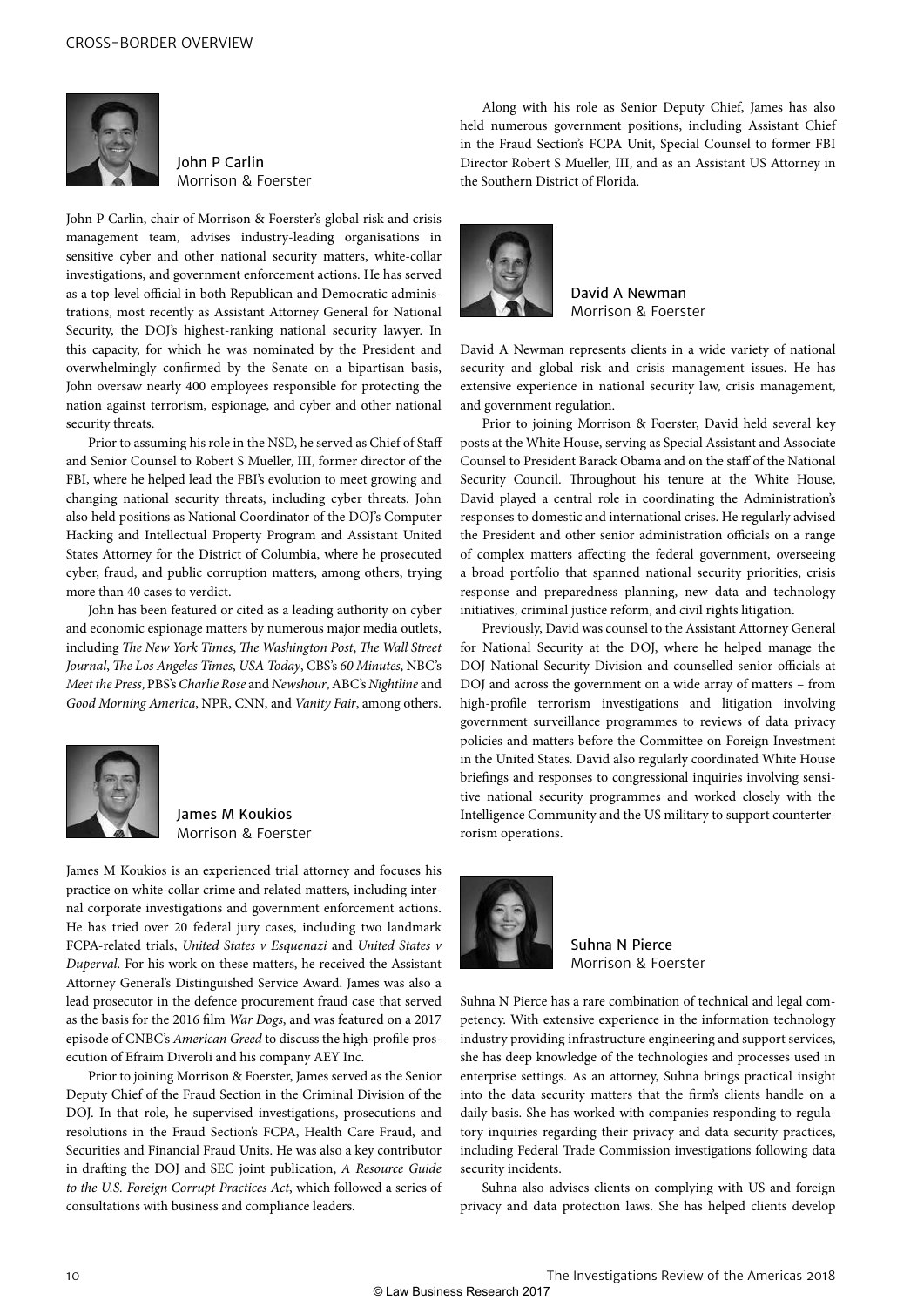

John P Carlin Morrison & Foerster

John P Carlin, chair of Morrison & Foerster's global risk and crisis management team, advises industry-leading organisations in sensitive cyber and other national security matters, white-collar investigations, and government enforcement actions. He has served as a top-level official in both Republican and Democratic administrations, most recently as Assistant Attorney General for National Security, the DOJ's highest-ranking national security lawyer. In this capacity, for which he was nominated by the President and overwhelmingly confirmed by the Senate on a bipartisan basis, John oversaw nearly 400 employees responsible for protecting the nation against terrorism, espionage, and cyber and other national security threats.

Prior to assuming his role in the NSD, he served as Chief of Staff and Senior Counsel to Robert S Mueller, III, former director of the FBI, where he helped lead the FBI's evolution to meet growing and changing national security threats, including cyber threats. John also held positions as National Coordinator of the DOJ's Computer Hacking and Intellectual Property Program and Assistant United States Attorney for the District of Columbia, where he prosecuted cyber, fraud, and public corruption matters, among others, trying more than 40 cases to verdict.

John has been featured or cited as a leading authority on cyber and economic espionage matters by numerous major media outlets, including *The New York Times*, *The Washington Post*, *The Wall Street Journal*, *The Los Angeles Times*, *USA Today*, CBS's *60 Minutes*, NBC's *Meet the Press*, PBS's *Charlie Rose* and *Newshour*, ABC's *Nightline* and *Good Morning America*, NPR, CNN, and *Vanity Fair*, among others.



James M Koukios Morrison & Foerster

James M Koukios is an experienced trial attorney and focuses his practice on white-collar crime and related matters, including internal corporate investigations and government enforcement actions. He has tried over 20 federal jury cases, including two landmark FCPA-related trials, *United States v Esquenazi* and *United States v Duperval*. For his work on these matters, he received the Assistant Attorney General's Distinguished Service Award. James was also a lead prosecutor in the defence procurement fraud case that served as the basis for the 2016 film *War Dogs*, and was featured on a 2017 episode of CNBC's *American Greed* to discuss the high-profile prosecution of Efraim Diveroli and his company AEY Inc.

Prior to joining Morrison & Foerster, James served as the Senior Deputy Chief of the Fraud Section in the Criminal Division of the DOJ. In that role, he supervised investigations, prosecutions and resolutions in the Fraud Section's FCPA, Health Care Fraud, and Securities and Financial Fraud Units. He was also a key contributor in drafting the DOJ and SEC joint publication, *A Resource Guide to the U.S. Foreign Corrupt Practices Act*, which followed a series of consultations with business and compliance leaders.

Along with his role as Senior Deputy Chief, James has also held numerous government positions, including Assistant Chief in the Fraud Section's FCPA Unit, Special Counsel to former FBI Director Robert S Mueller, III, and as an Assistant US Attorney in the Southern District of Florida.



David A Newman Morrison & Foerster

David A Newman represents clients in a wide variety of national security and global risk and crisis management issues. He has extensive experience in national security law, crisis management, and government regulation.

Prior to joining Morrison & Foerster, David held several key posts at the White House, serving as Special Assistant and Associate Counsel to President Barack Obama and on the staff of the National Security Council. Throughout his tenure at the White House, David played a central role in coordinating the Administration's responses to domestic and international crises. He regularly advised the President and other senior administration officials on a range of complex matters affecting the federal government, overseeing a broad portfolio that spanned national security priorities, crisis response and preparedness planning, new data and technology initiatives, criminal justice reform, and civil rights litigation.

Previously, David was counsel to the Assistant Attorney General for National Security at the DOJ, where he helped manage the DOJ National Security Division and counselled senior officials at DOJ and across the government on a wide array of matters – from high-profile terrorism investigations and litigation involving government surveillance programmes to reviews of data privacy policies and matters before the Committee on Foreign Investment in the United States. David also regularly coordinated White House briefings and responses to congressional inquiries involving sensitive national security programmes and worked closely with the Intelligence Community and the US military to support counterterrorism operations.



Suhna N Pierce Morrison & Foerster

Suhna N Pierce has a rare combination of technical and legal competency. With extensive experience in the information technology industry providing infrastructure engineering and support services, she has deep knowledge of the technologies and processes used in enterprise settings. As an attorney, Suhna brings practical insight into the data security matters that the firm's clients handle on a daily basis. She has worked with companies responding to regulatory inquiries regarding their privacy and data security practices, including Federal Trade Commission investigations following data security incidents.

Suhna also advises clients on complying with US and foreign privacy and data protection laws. She has helped clients develop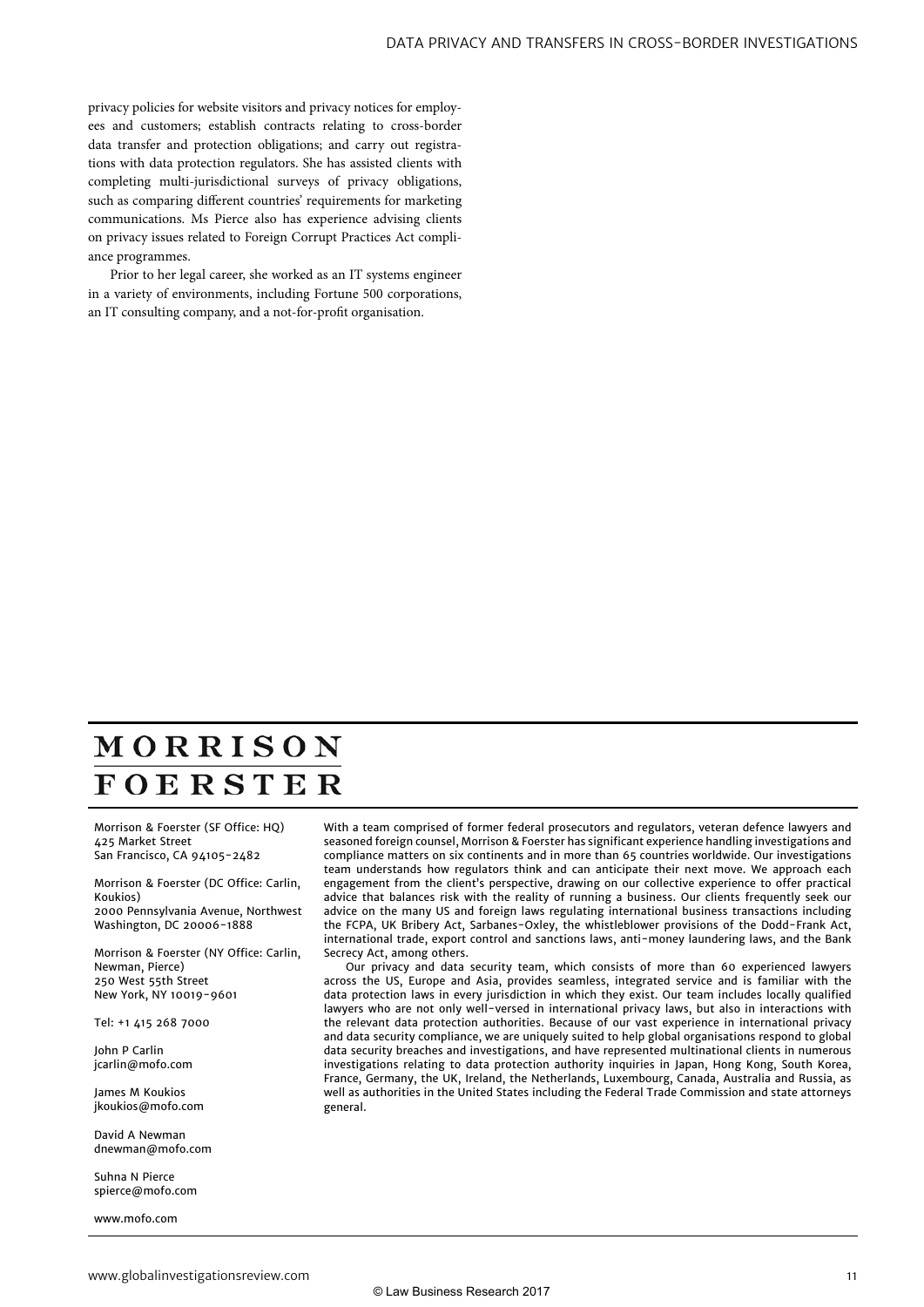privacy policies for website visitors and privacy notices for employees and customers; establish contracts relating to cross-border data transfer and protection obligations; and carry out registrations with data protection regulators. She has assisted clients with completing multi-jurisdictional surveys of privacy obligations, such as comparing different countries' requirements for marketing communications. Ms Pierce also has experience advising clients on privacy issues related to Foreign Corrupt Practices Act compliance programmes.

Prior to her legal career, she worked as an IT systems engineer in a variety of environments, including Fortune 500 corporations, an IT consulting company, and a not-for-profit organisation.

# MORRISON **FOERSTER**

Morrison & Foerster (SF Office: HQ) 425 Market Street San Francisco, CA 94105-2482

Morrison & Foerster (DC Office: Carlin, Koukios) 2000 Pennsylvania Avenue, Northwest Washington, DC 20006-1888

Morrison & Foerster (NY Office: Carlin, Newman, Pierce) 250 West 55th Street New York, NY 10019-9601

Tel: +1 415 268 7000

John P Carlin jcarlin@mofo.com

James M Koukios jkoukios@mofo.com

David A Newman dnewman@mofo.com

Suhna N Pierce spierce@mofo.com

www.mofo.com

With a team comprised of former federal prosecutors and regulators, veteran defence lawyers and seasoned foreign counsel, Morrison & Foerster has significant experience handling investigations and compliance matters on six continents and in more than 65 countries worldwide. Our investigations team understands how regulators think and can anticipate their next move. We approach each engagement from the client's perspective, drawing on our collective experience to offer practical advice that balances risk with the reality of running a business. Our clients frequently seek our advice on the many US and foreign laws regulating international business transactions including the FCPA, UK Bribery Act, Sarbanes-Oxley, the whistleblower provisions of the Dodd-Frank Act, international trade, export control and sanctions laws, anti-money laundering laws, and the Bank Secrecy Act, among others.

Our privacy and data security team, which consists of more than 60 experienced lawyers across the US, Europe and Asia, provides seamless, integrated service and is familiar with the data protection laws in every jurisdiction in which they exist. Our team includes locally qualified lawyers who are not only well-versed in international privacy laws, but also in interactions with the relevant data protection authorities. Because of our vast experience in international privacy and data security compliance, we are uniquely suited to help global organisations respond to global data security breaches and investigations, and have represented multinational clients in numerous investigations relating to data protection authority inquiries in Japan, Hong Kong, South Korea, France, Germany, the UK, Ireland, the Netherlands, Luxembourg, Canada, Australia and Russia, as well as authorities in the United States including the Federal Trade Commission and state attorneys general.